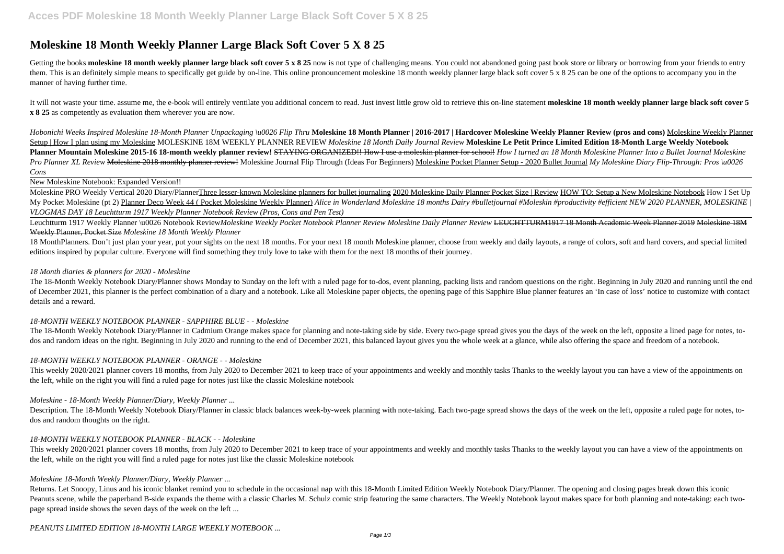# **Moleskine 18 Month Weekly Planner Large Black Soft Cover 5 X 8 25**

Getting the books moleskine 18 month weekly planner large black soft cover 5 x 8 25 now is not type of challenging means. You could not abandoned going past book store or library or borrowing from your friends to entry them. This is an definitely simple means to specifically get guide by on-line. This online pronouncement moleskine 18 month weekly planner large black soft cover 5 x 8 25 can be one of the options to accompany you in the manner of having further time.

It will not waste your time. assume me, the e-book will entirely ventilate you additional concern to read. Just invest little grow old to retrieve this on-line statement moleskine 18 month weekly planner large black soft c **x 8 25** as competently as evaluation them wherever you are now.

Hobonichi Weeks Inspired Moleskine 18-Month Planner Unpackaging \u0026 Flip Thru Moleskine 18 Month Planner | 2016-2017 | Hardcover Moleskine Weekly Planner Review (pros and cons) Moleskine Weekly Planner Setup | How I plan using my Moleskine MOLESKINE 18M WEEKLY PLANNER REVIEW *Moleskine 18 Month Daily Journal Review* **Moleskine Le Petit Prince Limited Edition 18-Month Large Weekly Notebook** Planner Mountain Moleskine 2015-16 18-month weekly planner review! STAYING ORGANIZED!! How I use a moleskin planner for school! How I turned an 18 Month Moleskine Planner Into a Bullet Journal Moleskine Pro Planner XL Review <del>Moleskine 2018 monthly planner review!</del> Moleskine Journal Flip Through (Ideas For Beginners) Moleskine Pocket Planner Setup - 2020 Bullet Journal My Moleskine Diary Flip-Through: Pros \u0026 *Cons*

Moleskine PRO Weekly Vertical 2020 Diary/PlannerThree lesser-known Moleskine planners for bullet journaling 2020 Moleskine Daily Planner Pocket Size | Review HOW TO: Setup a New Moleskine Notebook How I Set Up My Pocket Moleskine (pt 2) Planner Deco Week 44 ( Pocket Moleskine Weekly Planner) *Alice in Wonderland Moleskine 18 months Dairy #bulletjournal #Moleskin #productivity #efficient NEW 2020 PLANNER, MOLESKINE | VLOGMAS DAY 18 Leuchtturm 1917 Weekly Planner Notebook Review (Pros, Cons and Pen Test)*

The 18-Month Weekly Notebook Diary/Planner shows Monday to Sunday on the left with a ruled page for to-dos, event planning, packing lists and random questions on the right. Beginning in July 2020 and running until the end of December 2021, this planner is the perfect combination of a diary and a notebook. Like all Moleskine paper objects, the opening page of this Sapphire Blue planner features an 'In case of loss' notice to customize with c details and a reward.

New Moleskine Notebook: Expanded Version!!

The 18-Month Weekly Notebook Diary/Planner in Cadmium Orange makes space for planning and note-taking side by side. Every two-page spread gives you the days of the week on the left, opposite a lined page for notes, todos and random ideas on the right. Beginning in July 2020 and running to the end of December 2021, this balanced layout gives you the whole week at a glance, while also offering the space and freedom of a notebook.

This weekly 2020/2021 planner covers 18 months, from July 2020 to December 2021 to keep trace of your appointments and weekly and monthly tasks Thanks to the weekly layout you can have a view of the appointments on the left, while on the right you will find a ruled page for notes just like the classic Moleskine notebook

Description. The 18-Month Weekly Notebook Diary/Planner in classic black balances week-by-week planning with note-taking. Each two-page spread shows the days of the week on the left, opposite a ruled page for notes, todos and random thoughts on the right.

Leuchtturm 1917 Weekly Planner \u0026 Notebook Review*Moleskine Weekly Pocket Notebook Planner Review Moleskine Daily Planner Review* LEUCHTTURM1917 18 Month Academic Week Planner 2019 Moleskine 18M Weekly Planner, Pocket Size *Moleskine 18 Month Weekly Planner*

This weekly 2020/2021 planner covers 18 months, from July 2020 to December 2021 to keep trace of your appointments and weekly and monthly tasks Thanks to the weekly layout you can have a view of the appointments on the left, while on the right you will find a ruled page for notes just like the classic Moleskine notebook

18 MonthPlanners. Don't just plan your year, put your sights on the next 18 months. For your next 18 month Moleskine planner, choose from weekly and daily layouts, a range of colors, soft and hard covers, and special limited editions inspired by popular culture. Everyone will find something they truly love to take with them for the next 18 months of their journey.

Returns. Let Snoopy, Linus and his iconic blanket remind you to schedule in the occasional nap with this 18-Month Limited Edition Weekly Notebook Diary/Planner. The opening and closing pages break down this iconic Peanuts scene, while the paperband B-side expands the theme with a classic Charles M. Schulz comic strip featuring the same characters. The Weekly Notebook layout makes space for both planning and note-taking: each twopage spread inside shows the seven days of the week on the left ...

## *18 Month diaries & planners for 2020 - Moleskine*

## *18-MONTH WEEKLY NOTEBOOK PLANNER - SAPPHIRE BLUE - - Moleskine*

## *18-MONTH WEEKLY NOTEBOOK PLANNER - ORANGE - - Moleskine*

## *Moleskine - 18-Month Weekly Planner/Diary, Weekly Planner ...*

## *18-MONTH WEEKLY NOTEBOOK PLANNER - BLACK - - Moleskine*

## *Moleskine 18-Month Weekly Planner/Diary, Weekly Planner ...*

## *PEANUTS LIMITED EDITION 18-MONTH LARGE WEEKLY NOTEBOOK ...*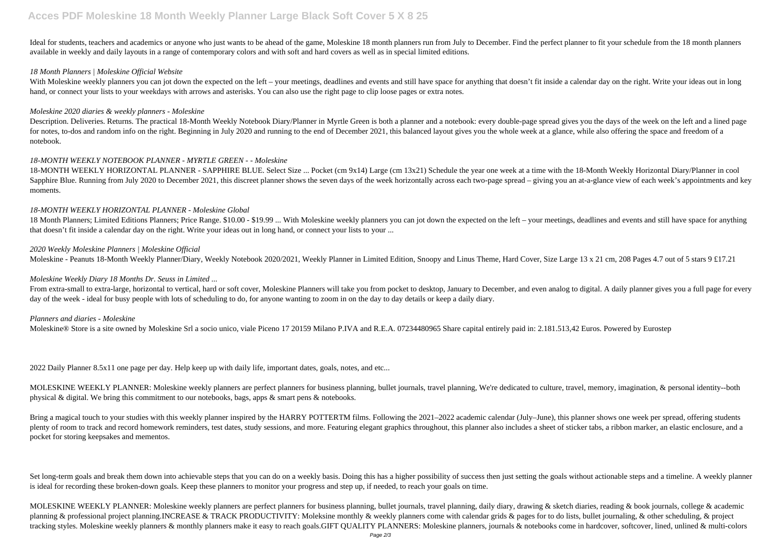## **Acces PDF Moleskine 18 Month Weekly Planner Large Black Soft Cover 5 X 8 25**

Ideal for students, teachers and academics or anyone who just wants to be ahead of the game, Moleskine 18 month planners run from July to December. Find the perfect planner to fit your schedule from the 18 month planners available in weekly and daily layouts in a range of contemporary colors and with soft and hard covers as well as in special limited editions.

With Moleskine weekly planners you can jot down the expected on the left - your meetings, deadlines and events and still have space for anything that doesn't fit inside a calendar day on the right. Write your ideas out in hand, or connect your lists to your weekdays with arrows and asterisks. You can also use the right page to clip loose pages or extra notes.

## *18 Month Planners | Moleskine Official Website*

Description. Deliveries. Returns. The practical 18-Month Weekly Notebook Diary/Planner in Myrtle Green is both a planner and a notebook: every double-page spread gives you the days of the week on the left and a lined page for notes, to-dos and random info on the right. Beginning in July 2020 and running to the end of December 2021, this balanced layout gives you the whole week at a glance, while also offering the space and freedom of a notebook.

## *Moleskine 2020 diaries & weekly planners - Moleskine*

## *18-MONTH WEEKLY NOTEBOOK PLANNER - MYRTLE GREEN - - Moleskine*

From extra-small to extra-large, horizontal to vertical, hard or soft cover, Moleskine Planners will take you from pocket to desktop, January to December, and even analog to digital. A daily planner gives you a full page f day of the week - ideal for busy people with lots of scheduling to do, for anyone wanting to zoom in on the day to day details or keep a daily diary.

18-MONTH WEEKLY HORIZONTAL PLANNER - SAPPHIRE BLUE. Select Size ... Pocket (cm 9x14) Large (cm 13x21) Schedule the year one week at a time with the 18-Month Weekly Horizontal Diary/Planner in cool Sapphire Blue. Running from July 2020 to December 2021, this discreet planner shows the seven days of the week horizontally across each two-page spread – giving you an at-a-glance view of each week's appointments and key moments.

## *18-MONTH WEEKLY HORIZONTAL PLANNER - Moleskine Global*

Bring a magical touch to your studies with this weekly planner inspired by the HARRY POTTERTM films. Following the 2021–2022 academic calendar (July–June), this planner shows one week per spread, offering students plenty of room to track and record homework reminders, test dates, study sessions, and more. Featuring elegant graphics throughout, this planner also includes a sheet of sticker tabs, a ribbon marker, an elastic enclosure, pocket for storing keepsakes and mementos.

18 Month Planners; Limited Editions Planners; Price Range. \$10.00 - \$19.99 ... With Moleskine weekly planners you can jot down the expected on the left – your meetings, deadlines and events and still have space for anything that doesn't fit inside a calendar day on the right. Write your ideas out in long hand, or connect your lists to your ...

Set long-term goals and break them down into achievable steps that you can do on a weekly basis. Doing this has a higher possibility of success then just setting the goals without actionable steps and a timeline. A weekly is ideal for recording these broken-down goals. Keep these planners to monitor your progress and step up, if needed, to reach your goals on time.

MOLESKINE WEEKLY PLANNER: Moleskine weekly planners are perfect planners for business planning, bullet journals, travel planning, daily diary, drawing & sketch diaries, reading & book journals, college & academic planning & professional project planning.INCREASE & TRACK PRODUCTIVITY: Moleksine monthly & weekly planners come with calendar grids & pages for to do lists, bullet journaling, & other scheduling, & project tracking styles. Moleskine weekly planners & monthly planners make it easy to reach goals.GIFT QUALITY PLANNERS: Moleskine planners, journals & notebooks come in hardcover, softcover, lined, unlined & multi-colors

## *2020 Weekly Moleskine Planners | Moleskine Official*

Moleskine - Peanuts 18-Month Weekly Planner/Diary, Weekly Notebook 2020/2021, Weekly Planner in Limited Edition, Snoopy and Linus Theme, Hard Cover, Size Large 13 x 21 cm, 208 Pages 4.7 out of 5 stars 9 £17.21

## *Moleskine Weekly Diary 18 Months Dr. Seuss in Limited ...*

## *Planners and diaries - Moleskine*

Moleskine® Store is a site owned by Moleskine Srl a socio unico, viale Piceno 17 20159 Milano P.IVA and R.E.A. 07234480965 Share capital entirely paid in: 2.181.513,42 Euros. Powered by Eurostep

2022 Daily Planner 8.5x11 one page per day. Help keep up with daily life, important dates, goals, notes, and etc...

MOLESKINE WEEKLY PLANNER: Moleskine weekly planners are perfect planners for business planning, bullet journals, travel planning, We're dedicated to culture, travel, memory, imagination, & personal identity--both physical & digital. We bring this commitment to our notebooks, bags, apps & smart pens & notebooks.